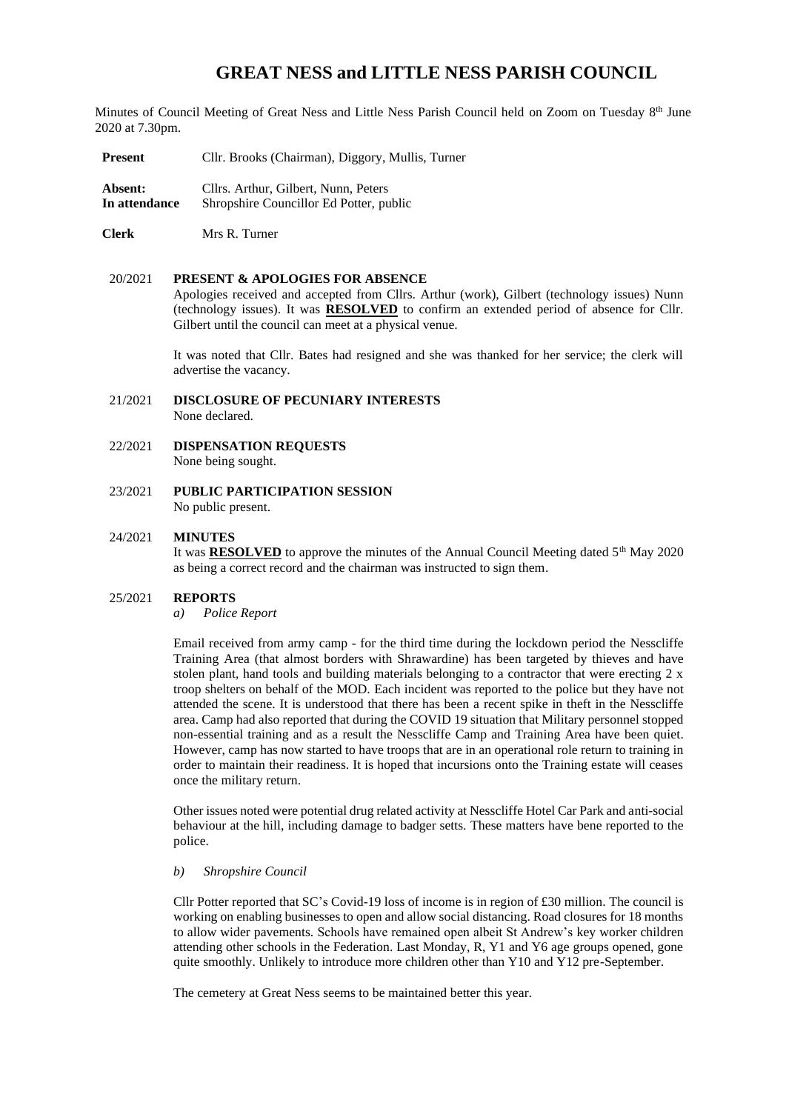# **GREAT NESS and LITTLE NESS PARISH COUNCIL**

Minutes of Council Meeting of Great Ness and Little Ness Parish Council held on Zoom on Tuesday 8th June 2020 at 7.30pm.

**Present** Cllr. Brooks (Chairman), Diggory, Mullis, Turner

**Absent:** Cllrs. Arthur, Gilbert, Nunn, Peters **In attendance** Shropshire Councillor Ed Potter, public

**Clerk** Mrs R. Turner

#### 20/2021 **PRESENT & APOLOGIES FOR ABSENCE**

Apologies received and accepted from Cllrs. Arthur (work), Gilbert (technology issues) Nunn (technology issues). It was **RESOLVED** to confirm an extended period of absence for Cllr. Gilbert until the council can meet at a physical venue.

It was noted that Cllr. Bates had resigned and she was thanked for her service; the clerk will advertise the vacancy.

- 21/2021 **DISCLOSURE OF PECUNIARY INTERESTS** None declared.
- 22/2021 **DISPENSATION REQUESTS** None being sought.
- 23/2021 **PUBLIC PARTICIPATION SESSION** No public present.

## 24/2021 **MINUTES**

It was **RESOLVED** to approve the minutes of the Annual Council Meeting dated 5<sup>th</sup> May 2020 as being a correct record and the chairman was instructed to sign them.

# 25/2021 **REPORTS**

*a) Police Report* 

Email received from army camp - for the third time during the lockdown period the Nesscliffe Training Area (that almost borders with Shrawardine) has been targeted by thieves and have stolen plant, hand tools and building materials belonging to a contractor that were erecting  $2 \times$ troop shelters on behalf of the MOD. Each incident was reported to the police but they have not attended the scene. It is understood that there has been a recent spike in theft in the Nesscliffe area. Camp had also reported that during the COVID 19 situation that Military personnel stopped non-essential training and as a result the Nesscliffe Camp and Training Area have been quiet. However, camp has now started to have troops that are in an operational role return to training in order to maintain their readiness. It is hoped that incursions onto the Training estate will ceases once the military return.

Other issues noted were potential drug related activity at Nesscliffe Hotel Car Park and anti-social behaviour at the hill, including damage to badger setts. These matters have bene reported to the police.

#### *b) Shropshire Council*

Cllr Potter reported that SC's Covid-19 loss of income is in region of £30 million. The council is working on enabling businesses to open and allow social distancing. Road closures for 18 months to allow wider pavements. Schools have remained open albeit St Andrew's key worker children attending other schools in the Federation. Last Monday, R, Y1 and Y6 age groups opened, gone quite smoothly. Unlikely to introduce more children other than Y10 and Y12 pre-September.

The cemetery at Great Ness seems to be maintained better this year.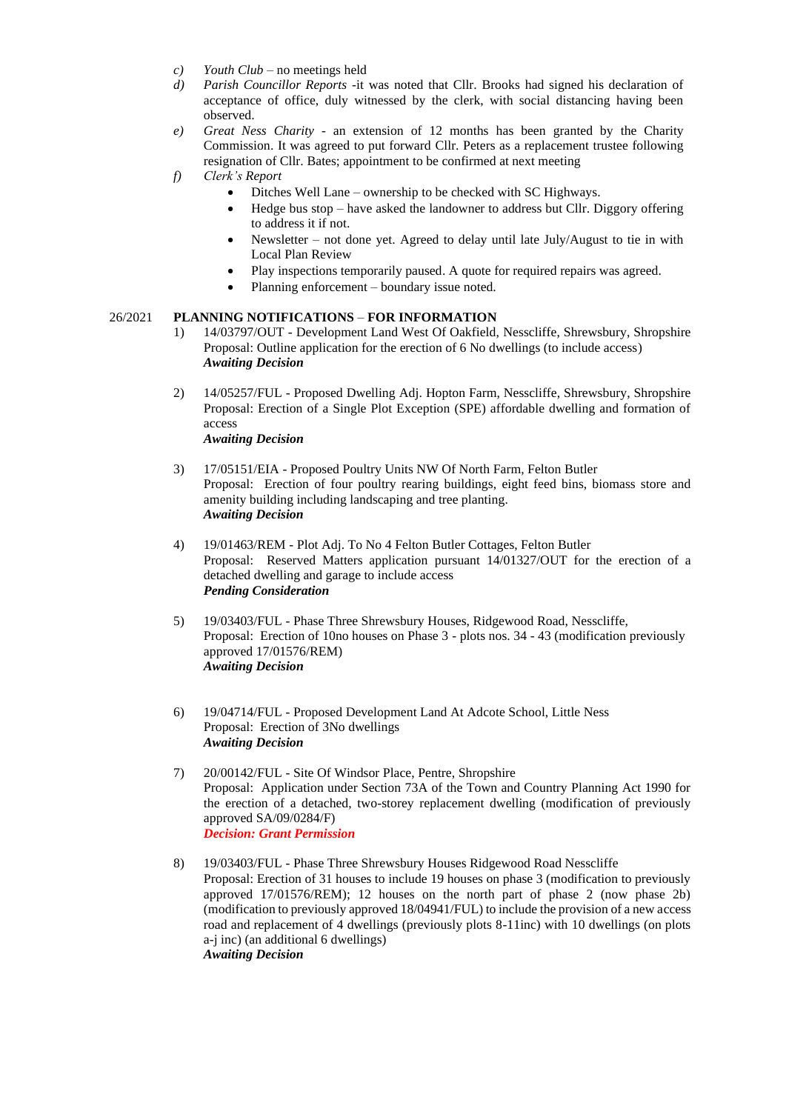- *c*) *Youth Club –* no meetings held
- *d) Parish Councillor Reports* -it was noted that Cllr. Brooks had signed his declaration of acceptance of office, duly witnessed by the clerk, with social distancing having been observed.
- *e) Great Ness Charity -* an extension of 12 months has been granted by the Charity Commission. It was agreed to put forward Cllr. Peters as a replacement trustee following resignation of Cllr. Bates; appointment to be confirmed at next meeting
- *f) Clerk's Report*
	- Ditches Well Lane ownership to be checked with SC Highways.
	- Hedge bus stop have asked the landowner to address but Cllr. Diggory offering to address it if not.
	- Newsletter not done yet. Agreed to delay until late July/August to tie in with Local Plan Review
	- Play inspections temporarily paused. A quote for required repairs was agreed.
	- Planning enforcement boundary issue noted.

#### 26/2021 **PLANNING NOTIFICATIONS** – **FOR INFORMATION**

- 1) 14/03797/OUT Development Land West Of Oakfield, Nesscliffe, Shrewsbury, Shropshire Proposal: Outline application for the erection of 6 No dwellings (to include access) *Awaiting Decision*
- 2) 14/05257/FUL Proposed Dwelling Adj. Hopton Farm, Nesscliffe, Shrewsbury, Shropshire Proposal: Erection of a Single Plot Exception (SPE) affordable dwelling and formation of access *Awaiting Decision*
- 3) 17/05151/EIA Proposed Poultry Units NW Of North Farm, Felton Butler Proposal: Erection of four poultry rearing buildings, eight feed bins, biomass store and amenity building including landscaping and tree planting. *Awaiting Decision*
- 4) 19/01463/REM Plot Adj. To No 4 Felton Butler Cottages, Felton Butler Proposal: Reserved Matters application pursuant 14/01327/OUT for the erection of a detached dwelling and garage to include access *Pending Consideration*
- 5) 19/03403/FUL Phase Three Shrewsbury Houses, Ridgewood Road, Nesscliffe, Proposal: Erection of 10no houses on Phase 3 - plots nos. 34 - 43 (modification previously approved 17/01576/REM) *Awaiting Decision*
- 6) 19/04714/FUL Proposed Development Land At Adcote School, Little Ness Proposal: Erection of 3No dwellings *Awaiting Decision*
- 7) 20/00142/FUL Site Of Windsor Place, Pentre, Shropshire Proposal: Application under Section 73A of the Town and Country Planning Act 1990 for the erection of a detached, two-storey replacement dwelling (modification of previously approved SA/09/0284/F) *Decision: Grant Permission*
- 8) 19/03403/FUL Phase Three Shrewsbury Houses Ridgewood Road Nesscliffe Proposal: Erection of 31 houses to include 19 houses on phase 3 (modification to previously approved 17/01576/REM); 12 houses on the north part of phase 2 (now phase 2b) (modification to previously approved 18/04941/FUL) to include the provision of a new access road and replacement of 4 dwellings (previously plots 8-11inc) with 10 dwellings (on plots a-j inc) (an additional 6 dwellings) *Awaiting Decision*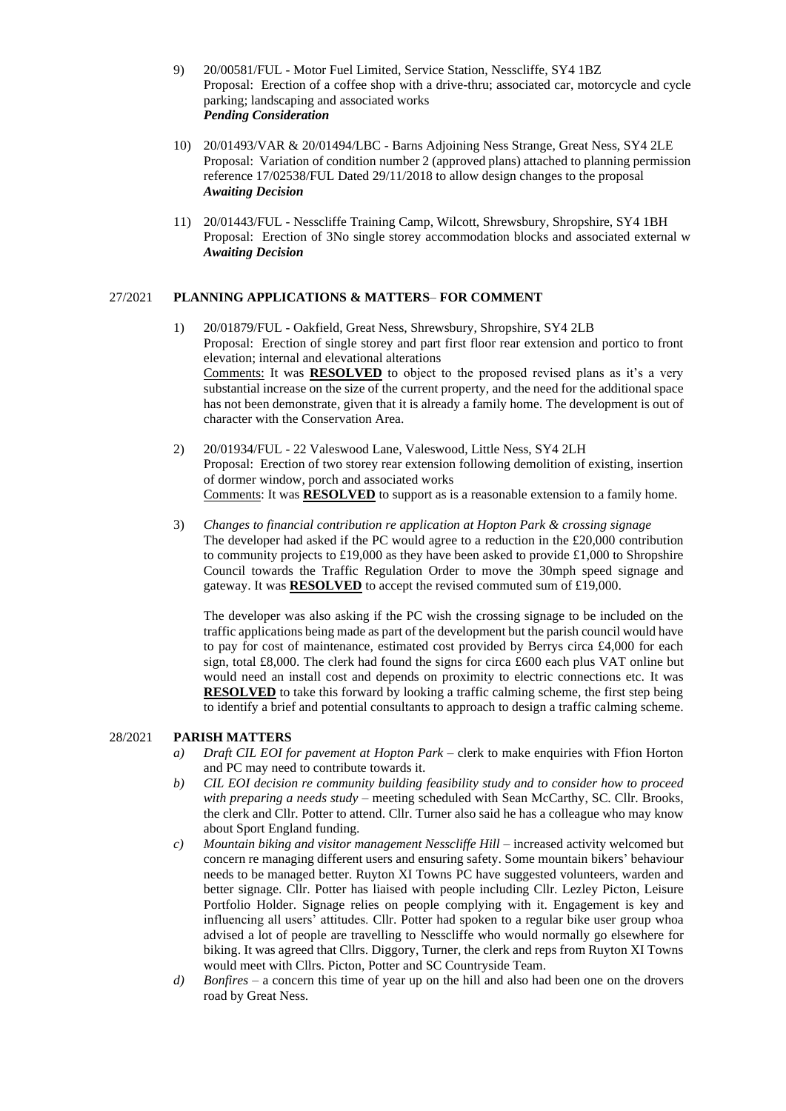- 9) 20/00581/FUL Motor Fuel Limited, Service Station, Nesscliffe, SY4 1BZ Proposal: Erection of a coffee shop with a drive-thru; associated car, motorcycle and cycle parking; landscaping and associated works *Pending Consideration*
- 10) 20/01493/VAR & 20/01494/LBC Barns Adjoining Ness Strange, Great Ness, SY4 2LE Proposal: Variation of condition number 2 (approved plans) attached to planning permission reference 17/02538/FUL Dated 29/11/2018 to allow design changes to the proposal *Awaiting Decision*
- 11) 20/01443/FUL Nesscliffe Training Camp, Wilcott, Shrewsbury, Shropshire, SY4 1BH Proposal: Erection of 3No single storey accommodation blocks and associated external w *Awaiting Decision*

# 27/2021 **PLANNING APPLICATIONS & MATTERS**– **FOR COMMENT**

- 1) 20/01879/FUL Oakfield, Great Ness, Shrewsbury, Shropshire, SY4 2LB Proposal: Erection of single storey and part first floor rear extension and portico to front elevation; internal and elevational alterations Comments: It was **RESOLVED** to object to the proposed revised plans as it's a very substantial increase on the size of the current property, and the need for the additional space has not been demonstrate, given that it is already a family home. The development is out of character with the Conservation Area.
- 2) 20/01934/FUL 22 Valeswood Lane, Valeswood, Little Ness, SY4 2LH Proposal: Erection of two storey rear extension following demolition of existing, insertion of dormer window, porch and associated works Comments: It was **RESOLVED** to support as is a reasonable extension to a family home.
- 3) *Changes to financial contribution re application at Hopton Park & crossing signage* The developer had asked if the PC would agree to a reduction in the  $\text{\pounds}20,000$  contribution to community projects to £19,000 as they have been asked to provide £1,000 to Shropshire Council towards the Traffic Regulation Order to move the 30mph speed signage and gateway. It was **RESOLVED** to accept the revised commuted sum of £19,000.

The developer was also asking if the PC wish the crossing signage to be included on the traffic applications being made as part of the development but the parish council would have to pay for cost of maintenance, estimated cost provided by Berrys circa £4,000 for each sign, total £8,000. The clerk had found the signs for circa £600 each plus VAT online but would need an install cost and depends on proximity to electric connections etc. It was **RESOLVED** to take this forward by looking a traffic calming scheme, the first step being to identify a brief and potential consultants to approach to design a traffic calming scheme.

## 28/2021 **PARISH MATTERS**

- *a) Draft CIL EOI for pavement at Hopton Park* clerk to make enquiries with Ffion Horton and PC may need to contribute towards it.
- *b) CIL EOI decision re community building feasibility study and to consider how to proceed with preparing a needs study –* meeting scheduled with Sean McCarthy, SC. Cllr. Brooks, the clerk and Cllr. Potter to attend. Cllr. Turner also said he has a colleague who may know about Sport England funding.
- *c) Mountain biking and visitor management Nesscliffe Hill* increased activity welcomed but concern re managing different users and ensuring safety. Some mountain bikers' behaviour needs to be managed better. Ruyton XI Towns PC have suggested volunteers, warden and better signage. Cllr. Potter has liaised with people including Cllr. Lezley Picton, Leisure Portfolio Holder. Signage relies on people complying with it. Engagement is key and influencing all users' attitudes. Cllr. Potter had spoken to a regular bike user group whoa advised a lot of people are travelling to Nesscliffe who would normally go elsewhere for biking. It was agreed that Cllrs. Diggory, Turner, the clerk and reps from Ruyton XI Towns would meet with Cllrs. Picton, Potter and SC Countryside Team.
- *d) Bonfires* a concern this time of year up on the hill and also had been one on the drovers road by Great Ness.